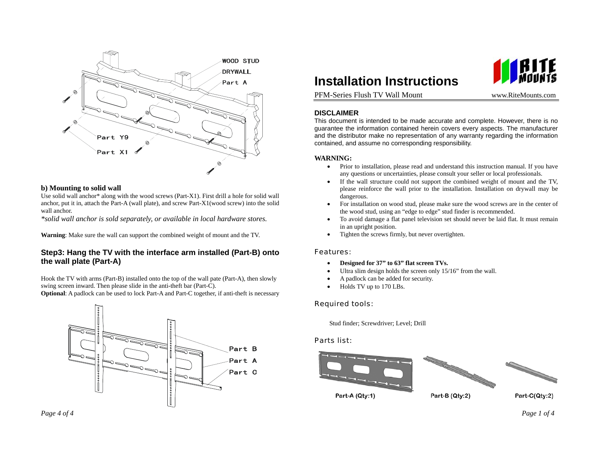

#### **b) Mounting to solid wall**

Use solid wall anchor\* along with the wood screws (Part-X1). First drill a hole for solid wall anchor, put it in, attach the Part-A (wall plate), and screw Part-X1(wood screw) into the solid wall anchor.

*\*solid wall anchor is sold separately, or available in local hardware stores.* 

**Warning**: Make sure the wall can support the combined weight of mount and the TV.

# **Step3: Hang the TV with the interface arm installed (Part-B) onto the wall plate (Part-A)**

Hook the TV with arms (Part-B) installed onto the top of the wall pate (Part-A), then slowly swing screen inward. Then please slide in the anti-theft bar (Part-C).

**Optional**: A padlock can be used to lock Part-A and Part-C together, if anti-theft is necessary





www.RiteMounts.com

PFM-Series Flush TV Wall Mount

### **DISCLAIMER**

This document is intended to be made accurate and complete. However, there is no guarantee the information contained herein covers every aspects. The manufacturer and the distributor make no representation of any warranty regarding the information contained, and assume no corresponding responsibility.

### **WARNING:**

- • Prior to installation, please read and understand this instruction manual. If you have any questions or uncertainties, please consult your seller or local professionals.
- • If the wall structure could not support the combined weight of mount and the TV, please reinforce the wall prior to the installation. Installation on drywall may be dangerous.
- • For installation on wood stud, please make sure the wood screws are in the center of the wood stud, using an "edge to edge" stud finder is recommended.
- • To avoid damage a flat panel television set should never be laid flat. It must remain in an upright position.
- •Tighten the screws firmly, but never overtighten.

#### Features:

- •**Designed for 37" to 63" flat screen TVs.**
- •Ultra slim design holds the screen only 15/16" from the wall.
- •A padlock can be added for security.
- •Holds TV up to 170 LBs.

## Required tools:

Stud finder; Screwdriver; Level; Drill

### Parts list: